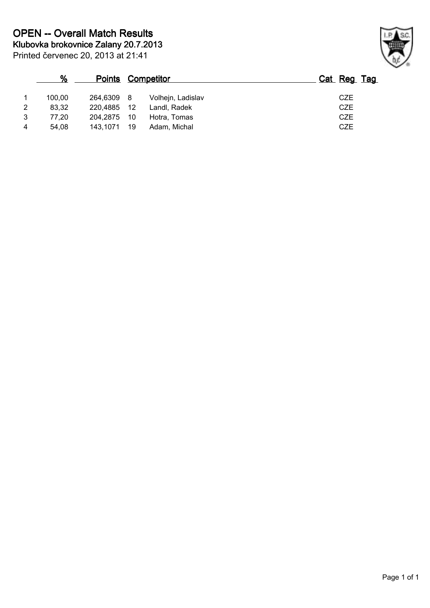|   | %      | <u>Points</u> |     | <u>Competitor</u> | Cat Reg Tag |
|---|--------|---------------|-----|-------------------|-------------|
|   | 100,00 | 264,6309 8    |     | Volhejn, Ladislav | <b>CZE</b>  |
| 2 | 83.32  | 220.4885      | -12 | Landl, Radek      | <b>CZE</b>  |
| 3 | 77.20  | 204.2875      | 10  | Hotra, Tomas      | <b>CZE</b>  |
|   | 54,08  | 143.1071      | 19  | Adam, Michal      | <b>CZE</b>  |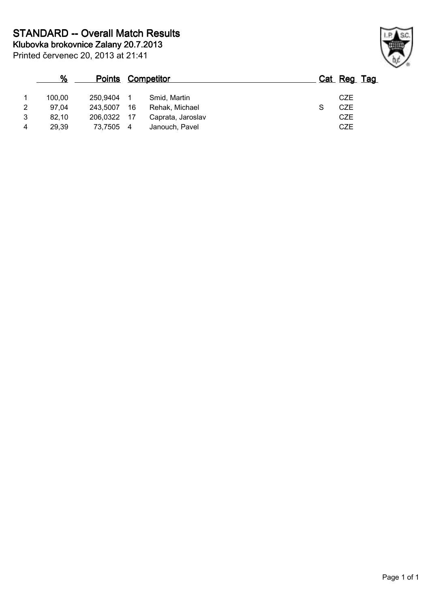| %              |        |          |     | <b>Points Competitor</b> | Cat Reg Tag |  |
|----------------|--------|----------|-----|--------------------------|-------------|--|
| $\mathbf{1}$   | 100.00 | 250.9404 |     | Smid, Martin             | <b>CZE</b>  |  |
| 2              | 97.04  | 243.5007 | 16  | Rehak, Michael           | <b>CZE</b>  |  |
| 3              | 82,10  | 206.0322 | -17 | Caprata, Jaroslav        | <b>CZE</b>  |  |
| $\overline{4}$ | 29.39  | 73,7505  | 4   | Janouch, Pavel           | <b>CZE</b>  |  |

Printed červenec 20, 2013 at 21:41